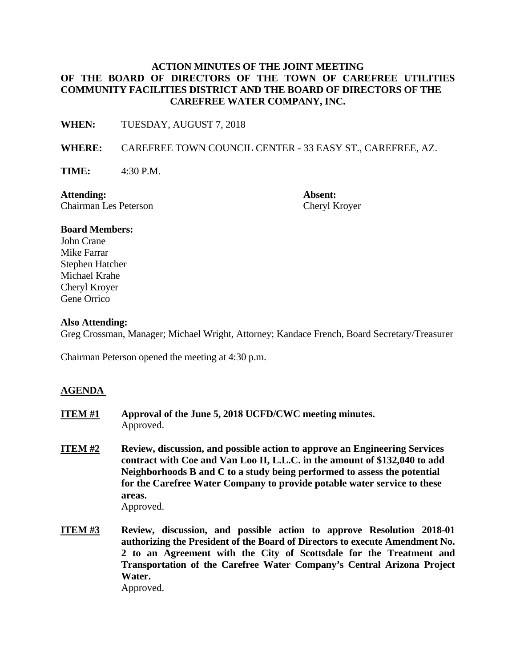## **ACTION MINUTES OF THE JOINT MEETING OF THE BOARD OF DIRECTORS OF THE TOWN OF CAREFREE UTILITIES COMMUNITY FACILITIES DISTRICT AND THE BOARD OF DIRECTORS OF THE CAREFREE WATER COMPANY, INC.**

**WHEN:** TUESDAY, AUGUST 7, 2018

**WHERE:** CAREFREE TOWN COUNCIL CENTER - 33 EASY ST., CAREFREE, AZ.

**TIME:** 4:30 P.M.

**Attending: Absent:** Chairman Les Peterson Cheryl Kroyer

#### **Board Members:**

John Crane Mike Farrar Stephen Hatcher Michael Krahe Cheryl Kroyer Gene Orrico

#### **Also Attending:**

Greg Crossman, Manager; Michael Wright, Attorney; Kandace French, Board Secretary/Treasurer

Chairman Peterson opened the meeting at 4:30 p.m.

### **AGENDA**

- **ITEM #1 Approval of the June 5, 2018 UCFD/CWC meeting minutes.**  Approved.
- **ITEM #2** Review, discussion, and possible action to approve an Engineering Services **contract with Coe and Van Loo II, L.L.C. in the amount of \$132,040 to add Neighborhoods B and C to a study being performed to assess the potential for the Carefree Water Company to provide potable water service to these areas.**  Approved.
- **ITEM #3 Review, discussion, and possible action to approve Resolution 2018-01 authorizing the President of the Board of Directors to execute Amendment No. 2 to an Agreement with the City of Scottsdale for the Treatment and Transportation of the Carefree Water Company's Central Arizona Project Water.**  Approved.